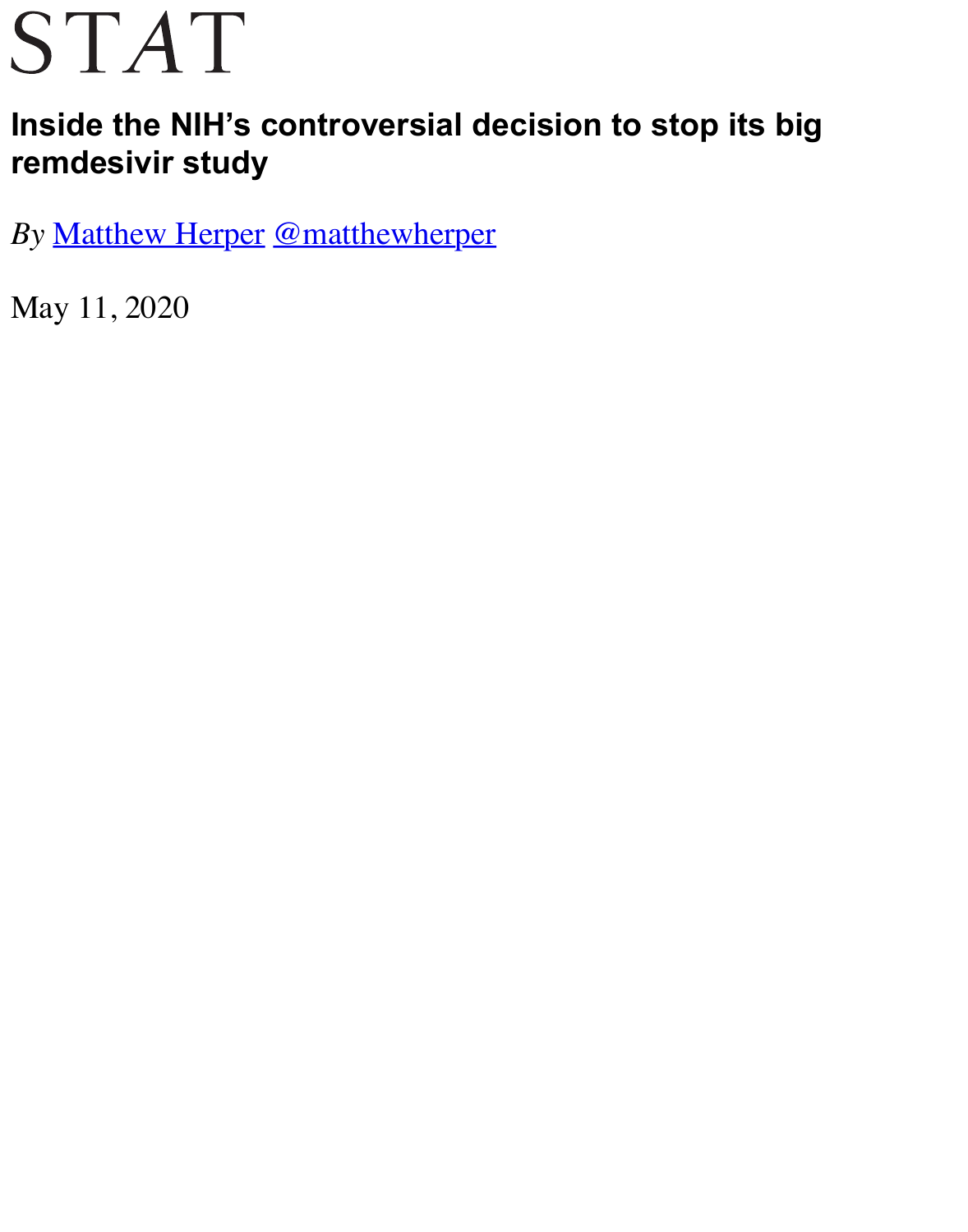## **remdesivir study**

*By* [Matthew Herpe](https://www.statnews.com/)r @matthewherper

May 11, 2020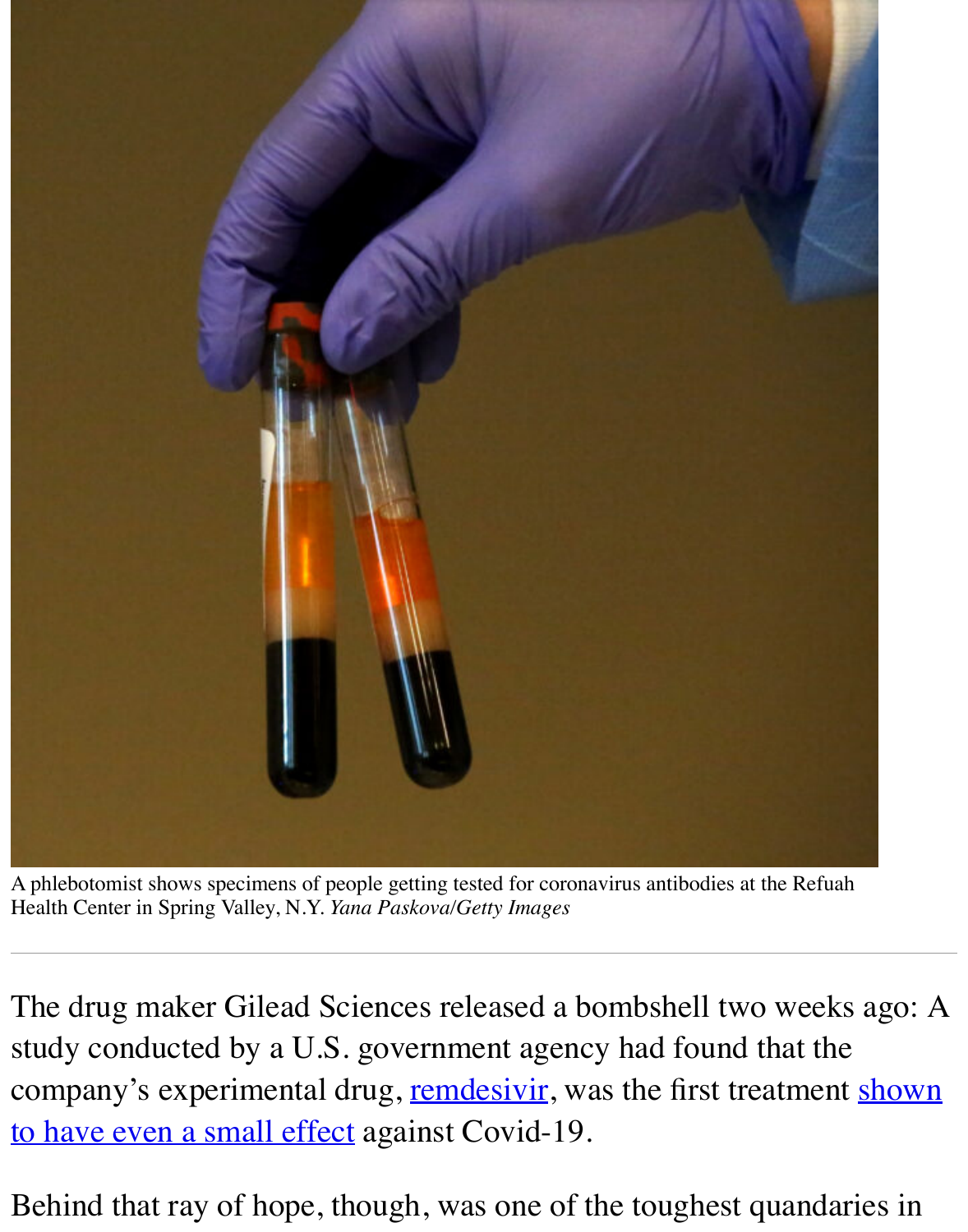

A phlebotomist shows specimens of people getting tested for coronavirus antibodies at the Ref Health Center in Spring Valley, N.Y. *Yana Paskova/Getty Images*

The drug maker Gilead Sciences released a bombshell two wee study conducted by a U.S. government agency had found that t company's experimental drug, remdesivir, was the first treatment to have even a small effect against Covid-19.

Behind that ray of hope, though, was one of the toughest quand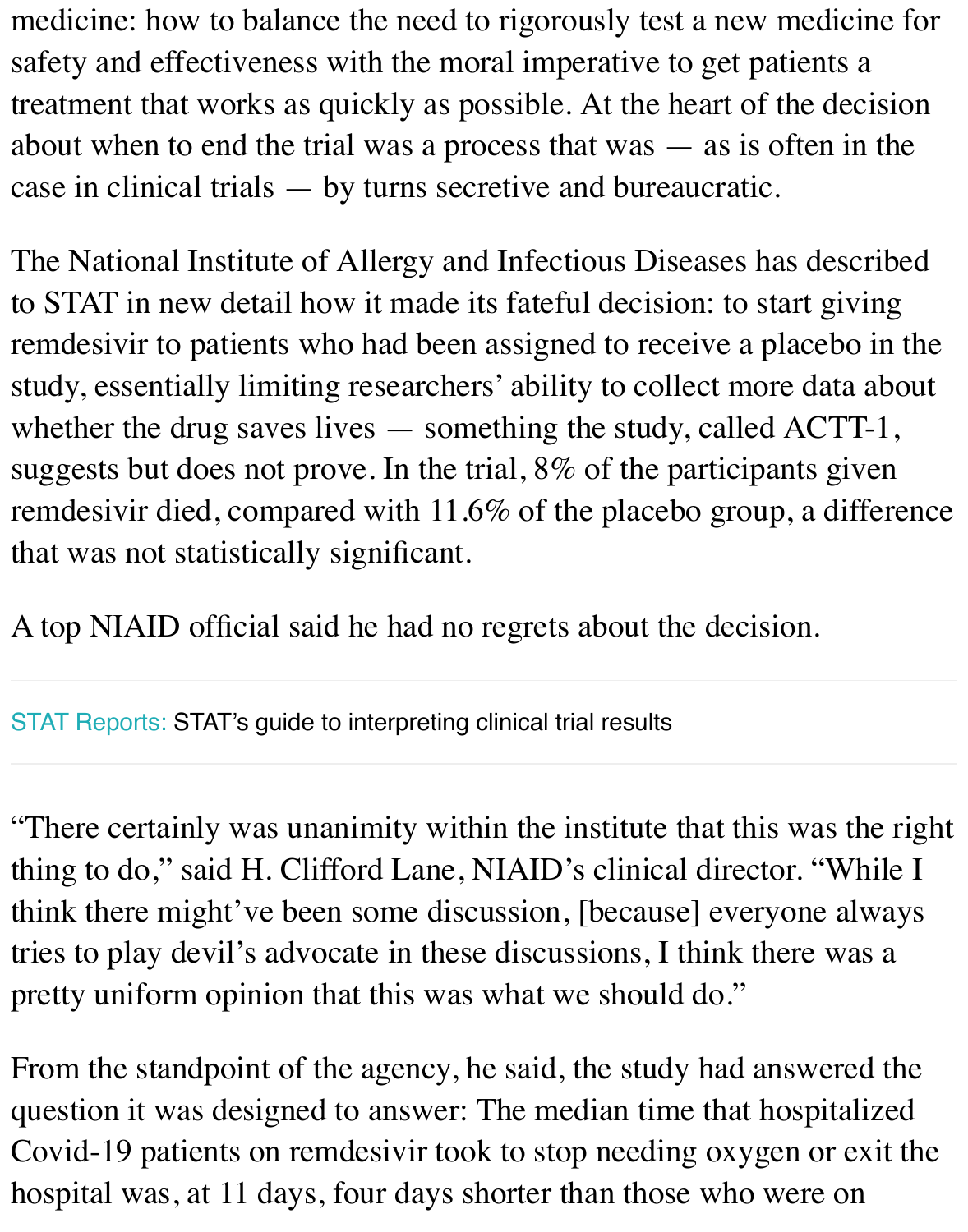case in clinical trials — by turns secretive and bureaucratic.

The National Institute of Allergy and Infectious Diseases has described as to STAT in new detail how it made its fateful decision: to start remdesivir to patients who had been assigned to receive a place study, essentially limiting researchers' ability to collect more data whether the drug saves lives  $-$  something the study, called AC suggests but does not prove. In the trial,  $8\%$  of the participants remdesivir died, compared with 11.6% of the placebo group, a that was not statistically significant.

A top NIAID official said he had no regrets about the decision.

STAT Reports: STAT's guide to interpreting clinical trial results

"There certainly was unanimity within the institute that this wa [thing to do,"](https://reports.statnews.com/) [said H. Clifford Lane, NIAID's clinica](https://reports.statnews.com/products/stat-guide-interpreting-clinical-trial-results?variant=32071781318759)l director. " think there might've been some discussion, [because] everyone tries to play devil's advocate in these discussions, I think there pretty uniform opinion that this was what we should do."

From the standpoint of the agency, he said, the study had answered the standpoint of the agency, he said, the study had answered question it was designed to answer: The median time that hospi Covid-19 patients on remdesivir took to stop needing oxygen or hospital was, at 11 days, four days shorter than those who were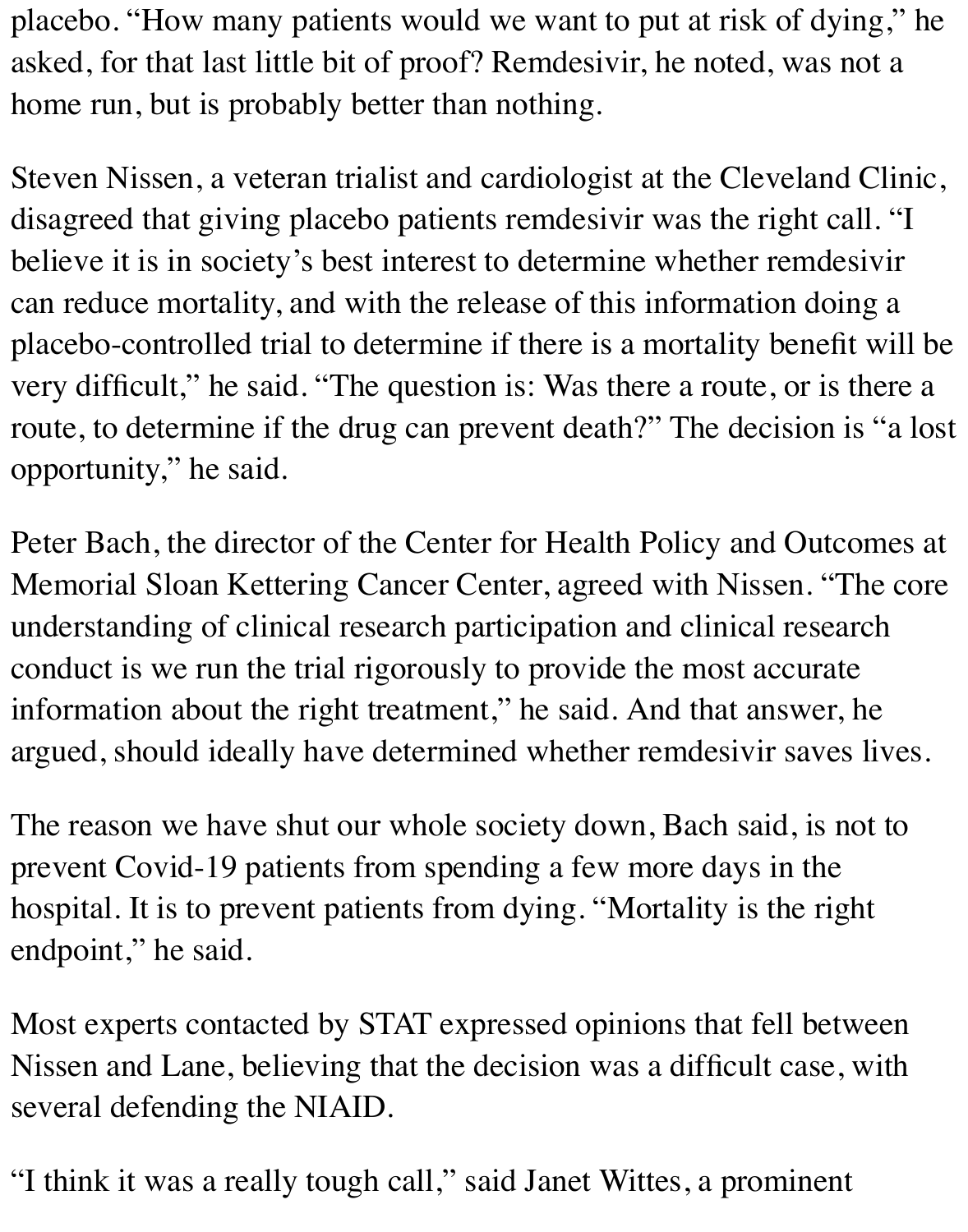placebo. "How many patients would we want to put at risk of dying," he asked, for that last little bit of proof? Remdesivir, he noted, was not a home run, but is probably better than nothing.

Steven Nissen, a veteran trialist and cardiologist at the Cleveland Clinic, disagreed that giving placebo patients remdesivir was the right call. "I believe it is in society's best interest to determine whether remdesivir can reduce mortality, and with the release of this information doing a placebo-controlled trial to determine if there is a mortality benefit will be very difficult," he said. "The question is: Was there a route, or is there a route, to determine if the drug can prevent death?" The decision is "a lost opportunity," he said.

Peter Bach, the director of the Center for Health Policy and Outcomes at Memorial Sloan Kettering Cancer Center, agreed with Nissen. "The core understanding of clinical research participation and clinical research conduct is we run the trial rigorously to provide the most accurate information about the right treatment," he said. And that answer, he argued, should ideally have determined whether remdesivir saves lives.

The reason we have shut our whole society down, Bach said, is not to prevent Covid-19 patients from spending a few more days in the hospital. It is to prevent patients from dying. "Mortality is the right endpoint," he said.

Most experts contacted by STAT expressed opinions that fell between Nissen and Lane, believing that the decision was a difficult case, with several defending the NIAID.

"I think it was a really tough call," said Janet Wittes, a prominent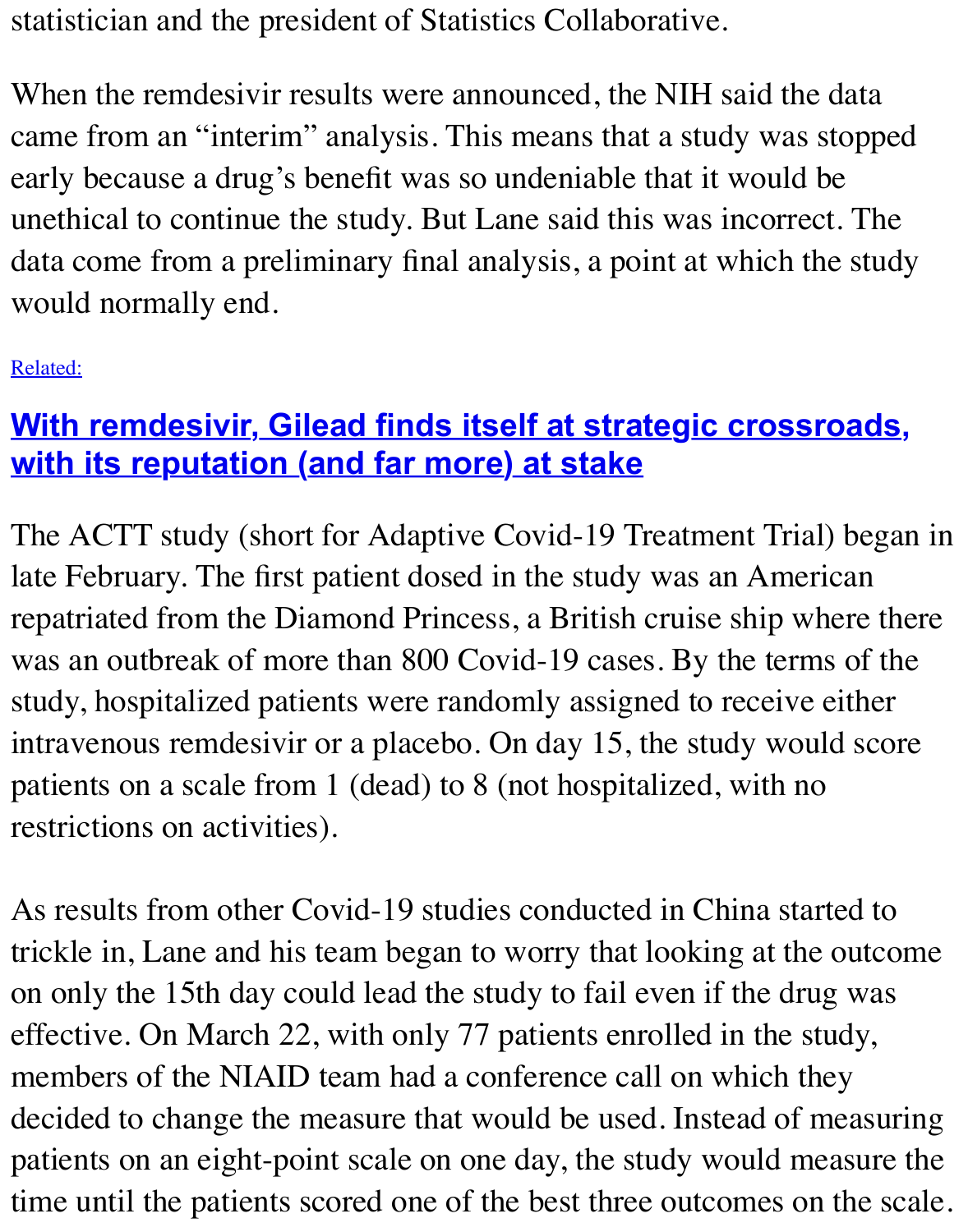early because a drug's benefit was so undeniable that it would be unethical to continue the study. But Lane said this was incorrect data come from a preliminary final analysis, a point at which the would normally end.

Related:

## **With remdesivir, Gilead finds itself at strategic crossroads with its reputation (and far more) at stake**

[The A](https://www.statnews.com/2020/05/05/remdesivir-gilead-strategic-crossroads-reputation-far-more-at-stake/)CTT study (short for Adaptive Covid-19 Treatment Trial) late February. The first patient dosed in the study was an Amer repatriated from the Diamond Princess, a British cruise ship wh was an outbreak of more than 800 Covid-19 cases. By the term study, hospitalized patients were randomly assigned to receive intravenous remdesivir or a placebo. On day 15, the study would patients on a scale from 1 (dead) to 8 (not hospitalized, with no restrictions on activities).

As results from other Covid-19 studies conducted in China started to  $\theta$ trickle in, Lane and his team began to worry that looking at the on only the 15th day could lead the study to fail even if the drug effective. On March 22, with only 77 patients enrolled in the st members of the NIAID team had a conference call on which the decided to change the measure that would be used. Instead of nearpatients on an eight-point scale on one day, the study would me time until the patients scored one of the best three outcomes on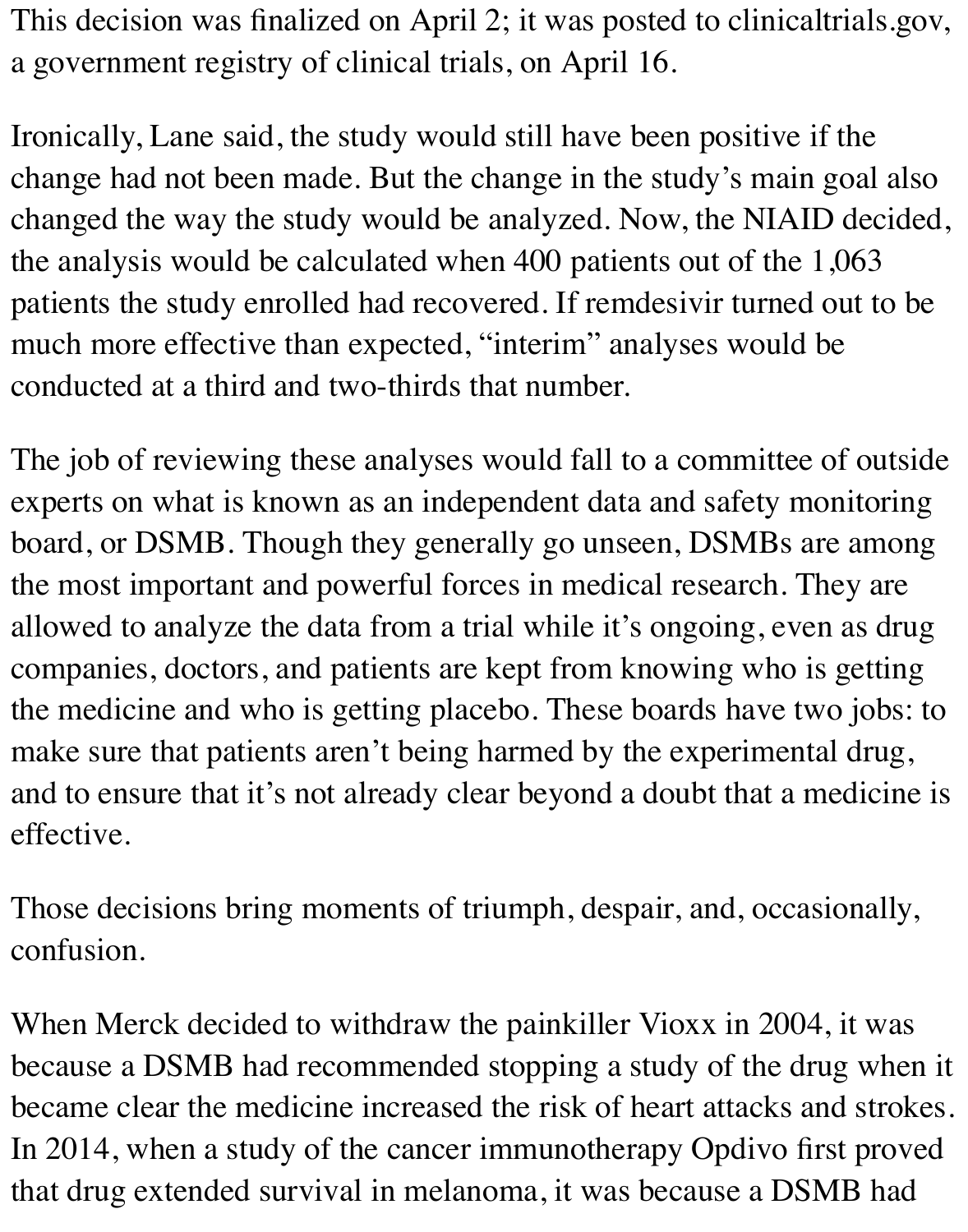This decision was finalized on April 2; it was posted to clinicaltrials.gov, a government registry of clinical trials, on April 16.

Ironically, Lane said, the study would still have been positive if the change had not been made. But the change in the study's main goal also changed the way the study would be analyzed. Now, the NIAID decided, the analysis would be calculated when 400 patients out of the 1,063 patients the study enrolled had recovered. If remdesivir turned out to be much more effective than expected, "interim" analyses would be conducted at a third and two-thirds that number.

The job of reviewing these analyses would fall to a committee of outside experts on what is known as an independent data and safety monitoring board, or DSMB. Though they generally go unseen, DSMBs are among the most important and powerful forces in medical research. They are allowed to analyze the data from a trial while it's ongoing, even as drug companies, doctors, and patients are kept from knowing who is getting the medicine and who is getting placebo. These boards have two jobs: to make sure that patients aren't being harmed by the experimental drug, and to ensure that it's not already clear beyond a doubt that a medicine is effective.

Those decisions bring moments of triumph, despair, and, occasionally, confusion.

When Merck decided to withdraw the painkiller Vioxx in 2004, it was because a DSMB had recommended stopping a study of the drug when it became clear the medicine increased the risk of heart attacks and strokes. In 2014, when a study of the cancer immunotherapy Opdivo first proved that drug extended survival in melanoma, it was because a DSMB had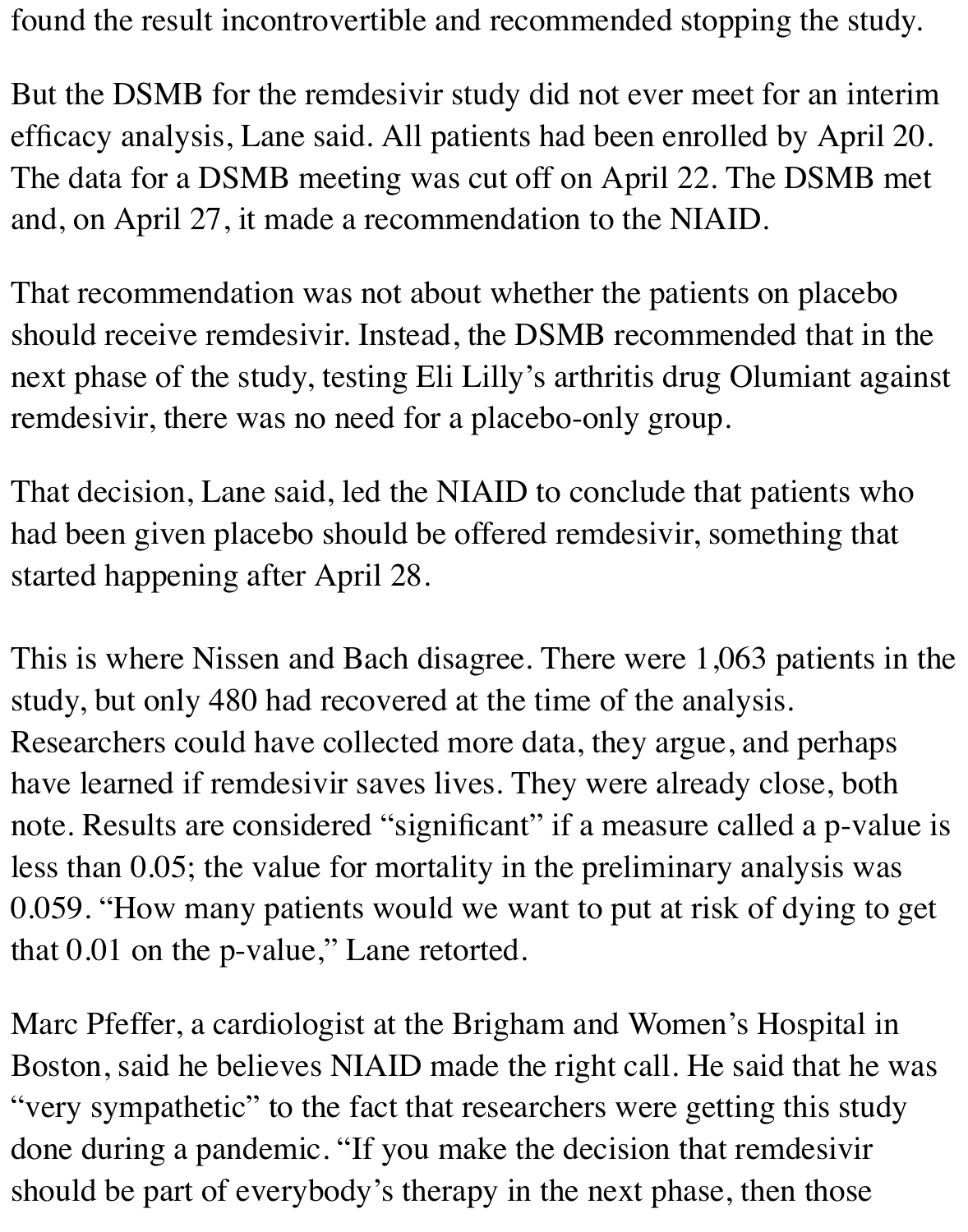found the result incontrovertible and recommended stopping the study.

But the DSMB for the remdesivir study did not ever meet for an interim efficacy analysis, Lane said. All patients had been enrolled by April 20. The data for a DSMB meeting was cut off on April 22. The DSMB met and, on April 27, it made a recommendation to the NIAID.

That recommendation was not about whether the patients on placebo should receive remdesivir. Instead, the DSMB recommended that in the next phase of the study, testing Eli Lilly's arthritis drug Olumiant against remdesivir, there was no need for a placebo-only group.

That decision, Lane said, led the NIAID to conclude that patients who had been given placebo should be offered remdesivir, something that started happening after April 28.

This is where Nissen and Bach disagree. There were 1,063 patients in the study, but only 480 had recovered at the time of the analysis. Researchers could have collected more data, they argue, and perhaps have learned if remdesivir saves lives. They were already close, both note. Results are considered "significant" if a measure called a p-value is less than 0.05; the value for mortality in the preliminary analysis was 0.059. "How many patients would we want to put at risk of dying to get that 0.01 on the p-value," Lane retorted.

Marc Pfeffer, a cardiologist at the Brigham and Women's Hospital in Boston, said he believes NIAID made the right call. He said that he was "very sympathetic" to the fact that researchers were getting this study done during a pandemic. "If you make the decision that remdesivir should be part of everybody's therapy in the next phase, then those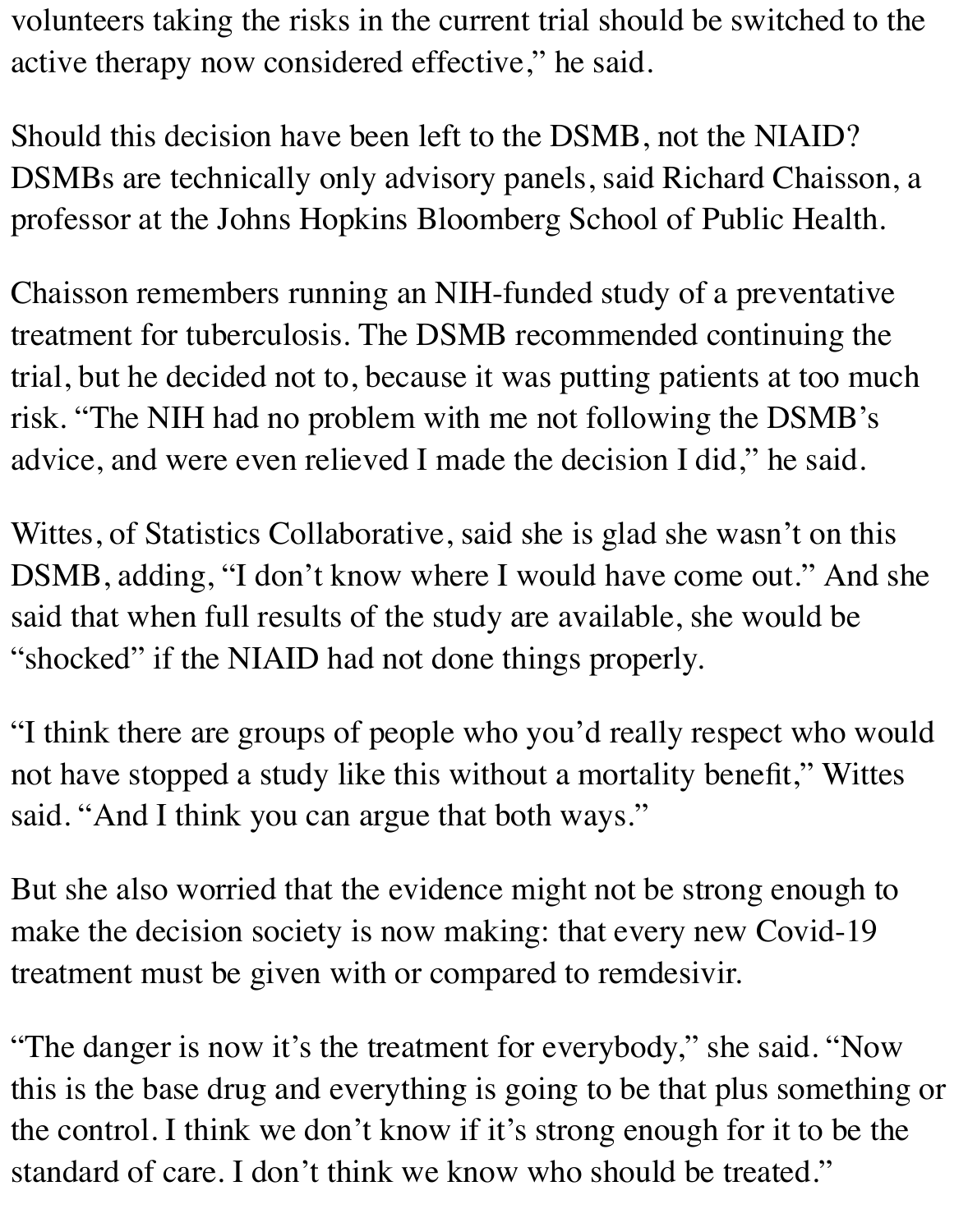volunteers taking the risks in the current trial should be switched to the active therapy now considered effective," he said.

Should this decision have been left to the DSMB, not the NIAID? DSMBs are technically only advisory panels, said Richard Chaisson, a professor at the Johns Hopkins Bloomberg School of Public Health.

Chaisson remembers running an NIH-funded study of a preventative treatment for tuberculosis. The DSMB recommended continuing the trial, but he decided not to, because it was putting patients at too much risk. "The NIH had no problem with me not following the DSMB's advice, and were even relieved I made the decision I did," he said.

Wittes, of Statistics Collaborative, said she is glad she wasn't on this DSMB, adding, "I don't know where I would have come out." And she said that when full results of the study are available, she would be "shocked" if the NIAID had not done things properly.

"I think there are groups of people who you'd really respect who would not have stopped a study like this without a mortality benefit," Wittes said. "And I think you can argue that both ways."

But she also worried that the evidence might not be strong enough to make the decision society is now making: that every new Covid-19 treatment must be given with or compared to remdesivir.

"The danger is now it's the treatment for everybody," she said. "Now this is the base drug and everything is going to be that plus something or the control. I think we don't know if it's strong enough for it to be the standard of care. I don't think we know who should be treated."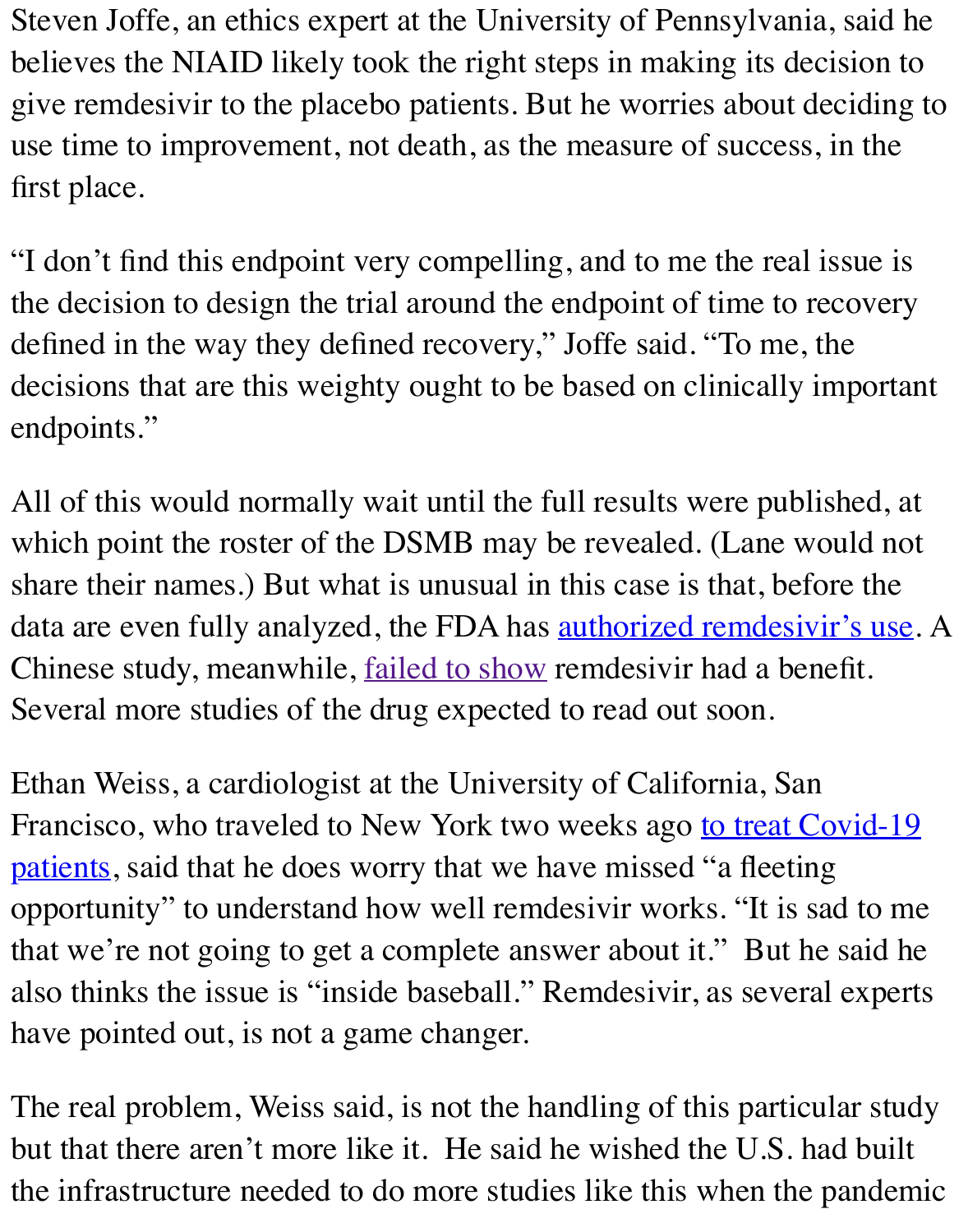first place.

"I don't find this endpoint very compelling, and to me the real is the decision to design the trial around the endpoint of time to re defined in the way they defined recovery," Joffe said. "To me, t decisions that are this weighty ought to be based on clinically important endpoints."

All of this would normally wait until the full results were publi which point the roster of the DSMB may be revealed. (Lane word share their names.) But what is unusual in this case is that, before data are even fully analyzed, the FDA has **authorized remdesiville and the Authorize** Chinese study, meanwhile, **failed to show remdesivir had a benefite.** Several more studies of the drug expected to read out soon.

Ethan Weiss, a cardiologist at the Univers[ity of California, San](https://www.statnews.com/2020/05/01/fda-to-allow-emergency-use-of-gileads-covid-19-drug/) Francisco, who traveled to [New York two](https://www.statnews.com/2020/04/23/data-on-gileads-remdesivir-released-by-accident-show-no-benefit-for-coronavirus-patients/) weeks ago to treat C patients, said that he does worry that we have missed "a fleeting opportunity" to understand how well remdesivir works. "It is satisfy that we're not going to get a complete answer about it." But he also thinks the issue is "inside baseball." Remdesivir, as several have pointed out, is not a game changer.

The real problem, Weiss said, is not the handling of this particular study but that there aren't more like it. He said he wished the U.S. had the infrastructure needed to do more studies like this when the